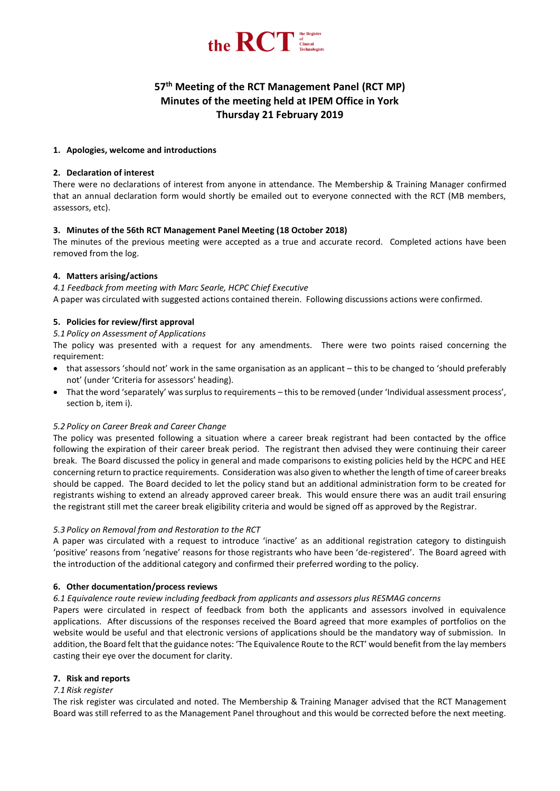

# **57 th Meeting of the RCT Management Panel (RCT MP) Minutes of the meeting held at IPEM Office in York Thursday 21 February 2019**

## **1. Apologies, welcome and introductions**

## **2. Declaration of interest**

There were no declarations of interest from anyone in attendance. The Membership & Training Manager confirmed that an annual declaration form would shortly be emailed out to everyone connected with the RCT (MB members, assessors, etc).

## **3. Minutes of the 56th RCT Management Panel Meeting (18 October 2018)**

The minutes of the previous meeting were accepted as a true and accurate record. Completed actions have been removed from the log.

## **4. Matters arising/actions**

*4.1 Feedback from meeting with Marc Searle, HCPC Chief Executive* A paper was circulated with suggested actions contained therein. Following discussions actions were confirmed.

## **5. Policies for review/first approval**

## *5.1 Policy on Assessment of Applications*

The policy was presented with a request for any amendments. There were two points raised concerning the requirement:

- that assessors 'should not' work in the same organisation as an applicant this to be changed to 'should preferably not' (under 'Criteria for assessors' heading).
- That the word 'separately' was surplus to requirements this to be removed (under 'Individual assessment process', section b, item i).

## *5.2 Policy on Career Break and Career Change*

The policy was presented following a situation where a career break registrant had been contacted by the office following the expiration of their career break period. The registrant then advised they were continuing their career break. The Board discussed the policy in general and made comparisons to existing policies held by the HCPC and HEE concerning return to practice requirements. Consideration was also given to whether the length of time of career breaks should be capped. The Board decided to let the policy stand but an additional administration form to be created for registrants wishing to extend an already approved career break. This would ensure there was an audit trail ensuring the registrant still met the career break eligibility criteria and would be signed off as approved by the Registrar.

## *5.3 Policy on Removal from and Restoration to the RCT*

A paper was circulated with a request to introduce 'inactive' as an additional registration category to distinguish 'positive' reasons from 'negative' reasons for those registrants who have been 'de-registered'. The Board agreed with the introduction of the additional category and confirmed their preferred wording to the policy.

## **6. Other documentation/process reviews**

## *6.1 Equivalence route review including feedback from applicants and assessors plus RESMAG concerns*

Papers were circulated in respect of feedback from both the applicants and assessors involved in equivalence applications. After discussions of the responses received the Board agreed that more examples of portfolios on the website would be useful and that electronic versions of applications should be the mandatory way of submission. In addition, the Board felt that the guidance notes: 'The Equivalence Route to the RCT' would benefit from the lay members casting their eye over the document for clarity.

## **7. Risk and reports**

## *7.1 Risk register*

The risk register was circulated and noted. The Membership & Training Manager advised that the RCT Management Board was still referred to as the Management Panel throughout and this would be corrected before the next meeting.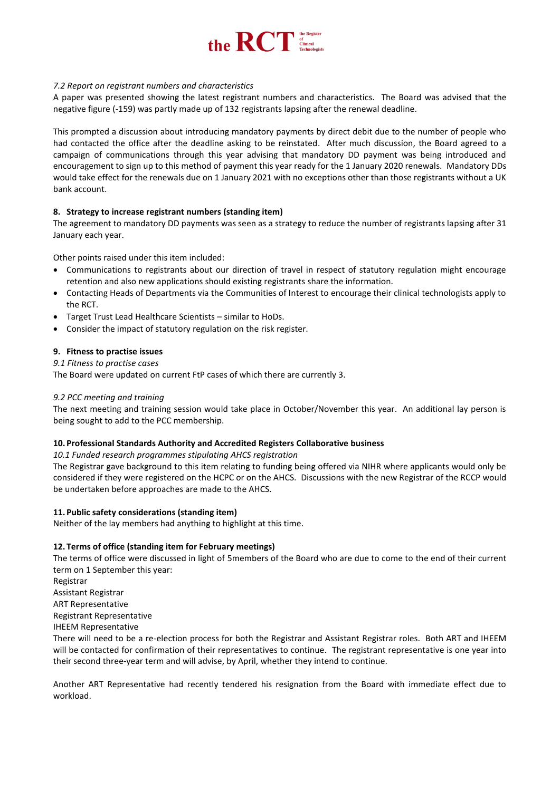

## *7.2 Report on registrant numbers and characteristics*

A paper was presented showing the latest registrant numbers and characteristics. The Board was advised that the negative figure (-159) was partly made up of 132 registrants lapsing after the renewal deadline.

This prompted a discussion about introducing mandatory payments by direct debit due to the number of people who had contacted the office after the deadline asking to be reinstated. After much discussion, the Board agreed to a campaign of communications through this year advising that mandatory DD payment was being introduced and encouragement to sign up to this method of payment this year ready for the 1 January 2020 renewals. Mandatory DDs would take effect for the renewals due on 1 January 2021 with no exceptions other than those registrants without a UK bank account.

## **8. Strategy to increase registrant numbers (standing item)**

The agreement to mandatory DD payments was seen as a strategy to reduce the number of registrants lapsing after 31 January each year.

Other points raised under this item included:

- Communications to registrants about our direction of travel in respect of statutory regulation might encourage retention and also new applications should existing registrants share the information.
- Contacting Heads of Departments via the Communities of Interest to encourage their clinical technologists apply to the RCT.
- Target Trust Lead Healthcare Scientists similar to HoDs.
- Consider the impact of statutory regulation on the risk register.

#### **9. Fitness to practise issues**

#### *9.1 Fitness to practise cases*

The Board were updated on current FtP cases of which there are currently 3.

### *9.2 PCC meeting and training*

The next meeting and training session would take place in October/November this year. An additional lay person is being sought to add to the PCC membership.

#### **10. Professional Standards Authority and Accredited Registers Collaborative business**

*10.1 Funded research programmes stipulating AHCS registration*

The Registrar gave background to this item relating to funding being offered via NIHR where applicants would only be considered if they were registered on the HCPC or on the AHCS. Discussions with the new Registrar of the RCCP would be undertaken before approaches are made to the AHCS.

#### **11. Public safety considerations (standing item)**

Neither of the lay members had anything to highlight at this time.

#### **12. Terms of office (standing item for February meetings)**

The terms of office were discussed in light of 5members of the Board who are due to come to the end of their current term on 1 September this year:

Registrar Assistant Registrar ART Representative Registrant Representative IHEEM Representative

There will need to be a re-election process for both the Registrar and Assistant Registrar roles. Both ART and IHEEM will be contacted for confirmation of their representatives to continue. The registrant representative is one year into their second three-year term and will advise, by April, whether they intend to continue.

Another ART Representative had recently tendered his resignation from the Board with immediate effect due to workload.